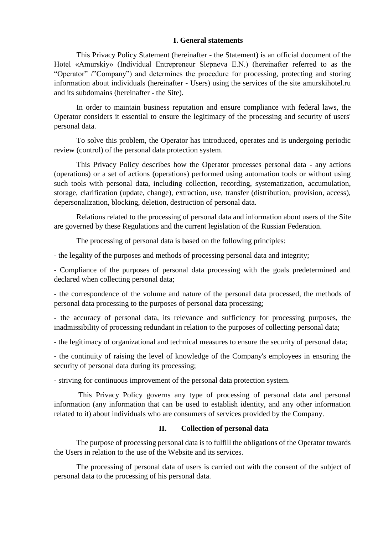## **I. General statements**

This Privacy Policy Statement (hereinafter - the Statement) is an official document of the Hotel «Amurskiy» (Individual Entrepreneur Slepneva E.N.) (hereinafter referred to as the "Operator" /"Company") and determines the procedure for processing, protecting and storing information about individuals (hereinafter - Users) using the services of the site amurskihotel.ru and its subdomains (hereinafter - the Site).

In order to maintain business reputation and ensure compliance with federal laws, the Operator considers it essential to ensure the legitimacy of the processing and security of users' personal data.

To solve this problem, the Operator has introduced, operates and is undergoing periodic review (control) of the personal data protection system.

This Privacy Policy describes how the Operator processes personal data - any actions (operations) or a set of actions (operations) performed using automation tools or without using such tools with personal data, including collection, recording, systematization, accumulation, storage, clarification (update, change), extraction, use, transfer (distribution, provision, access), depersonalization, blocking, deletion, destruction of personal data.

Relations related to the processing of personal data and information about users of the Site are governed by these Regulations and the current legislation of the Russian Federation.

The processing of personal data is based on the following principles:

- the legality of the purposes and methods of processing personal data and integrity;

- Compliance of the purposes of personal data processing with the goals predetermined and declared when collecting personal data;

- the correspondence of the volume and nature of the personal data processed, the methods of personal data processing to the purposes of personal data processing;

- the accuracy of personal data, its relevance and sufficiency for processing purposes, the inadmissibility of processing redundant in relation to the purposes of collecting personal data;

- the legitimacy of organizational and technical measures to ensure the security of personal data;

- the continuity of raising the level of knowledge of the Company's employees in ensuring the security of personal data during its processing;

- striving for continuous improvement of the personal data protection system.

This Privacy Policy governs any type of processing of personal data and personal information (any information that can be used to establish identity, and any other information related to it) about individuals who are consumers of services provided by the Company.

# **II. Collection of personal data**

The purpose of processing personal data is to fulfill the obligations of the Operator towards the Users in relation to the use of the Website and its services.

The processing of personal data of users is carried out with the consent of the subject of personal data to the processing of his personal data.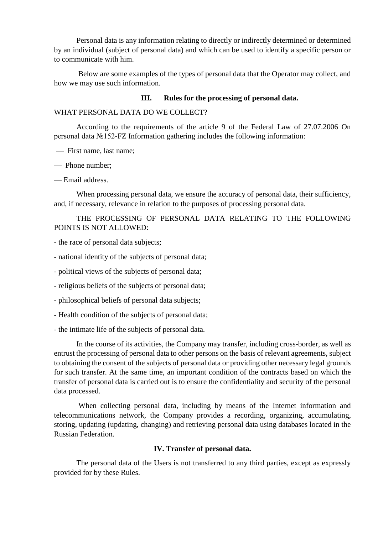Personal data is any information relating to directly or indirectly determined or determined by an individual (subject of personal data) and which can be used to identify a specific person or to communicate with him.

Below are some examples of the types of personal data that the Operator may collect, and how we may use such information.

### **III. Rules for the processing of personal data.**

#### WHAT PERSONAL DATA DO WE COLLECT?

According to the requirements of the article 9 of the Federal Law of 27.07.2006 On personal data №152-FZ Information gathering includes the following information:

— First name, last name;

— Phone number;

— Email address.

When processing personal data, we ensure the accuracy of personal data, their sufficiency, and, if necessary, relevance in relation to the purposes of processing personal data.

THE PROCESSING OF PERSONAL DATA RELATING TO THE FOLLOWING POINTS IS NOT ALLOWED:

- the race of personal data subjects;
- national identity of the subjects of personal data;
- political views of the subjects of personal data;
- religious beliefs of the subjects of personal data;
- philosophical beliefs of personal data subjects;
- Health condition of the subjects of personal data;
- the intimate life of the subjects of personal data.

In the course of its activities, the Company may transfer, including cross-border, as well as entrust the processing of personal data to other persons on the basis of relevant agreements, subject to obtaining the consent of the subjects of personal data or providing other necessary legal grounds for such transfer. At the same time, an important condition of the contracts based on which the transfer of personal data is carried out is to ensure the confidentiality and security of the personal data processed.

When collecting personal data, including by means of the Internet information and telecommunications network, the Company provides a recording, organizing, accumulating, storing, updating (updating, changing) and retrieving personal data using databases located in the Russian Federation.

## **IV. Transfer of personal data.**

The personal data of the Users is not transferred to any third parties, except as expressly provided for by these Rules.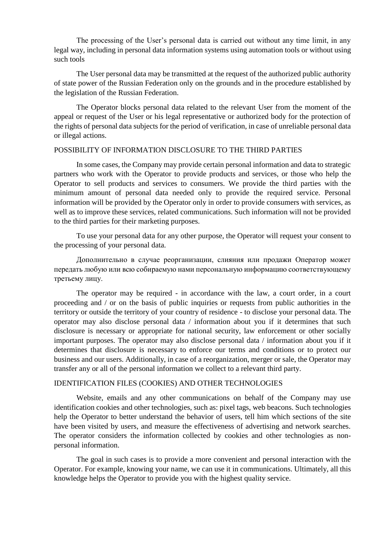The processing of the User's personal data is carried out without any time limit, in any legal way, including in personal data information systems using automation tools or without using such tools

The User personal data may be transmitted at the request of the authorized public authority of state power of the Russian Federation only on the grounds and in the procedure established by the legislation of the Russian Federation.

The Operator blocks personal data related to the relevant User from the moment of the appeal or request of the User or his legal representative or authorized body for the protection of the rights of personal data subjects for the period of verification, in case of unreliable personal data or illegal actions.

# POSSIBILITY OF INFORMATION DISCLOSURE TO THE THIRD PARTIES

In some cases, the Company may provide certain personal information and data to strategic partners who work with the Operator to provide products and services, or those who help the Operator to sell products and services to consumers. We provide the third parties with the minimum amount of personal data needed only to provide the required service. Personal information will be provided by the Operator only in order to provide consumers with services, as well as to improve these services, related communications. Such information will not be provided to the third parties for their marketing purposes.

To use your personal data for any other purpose, the Operator will request your consent to the processing of your personal data.

Дополнительно в случае реорганизации, слияния или продажи Оператор может передать любую или всю собираемую нами персональную информацию соответствующему третьему лицу.

The operator may be required - in accordance with the law, a court order, in a court proceeding and / or on the basis of public inquiries or requests from public authorities in the territory or outside the territory of your country of residence - to disclose your personal data. The operator may also disclose personal data / information about you if it determines that such disclosure is necessary or appropriate for national security, law enforcement or other socially important purposes. The operator may also disclose personal data / information about you if it determines that disclosure is necessary to enforce our terms and conditions or to protect our business and our users. Additionally, in case of a reorganization, merger or sale, the Operator may transfer any or all of the personal information we collect to a relevant third party.

#### IDENTIFICATION FILES (COOKIES) AND OTHER TECHNOLOGIES

Website, emails and any other communications on behalf of the Company may use identification cookies and other technologies, such as: pixel tags, web beacons. Such technologies help the Operator to better understand the behavior of users, tell him which sections of the site have been visited by users, and measure the effectiveness of advertising and network searches. The operator considers the information collected by cookies and other technologies as nonpersonal information.

The goal in such cases is to provide a more convenient and personal interaction with the Operator. For example, knowing your name, we can use it in communications. Ultimately, all this knowledge helps the Operator to provide you with the highest quality service.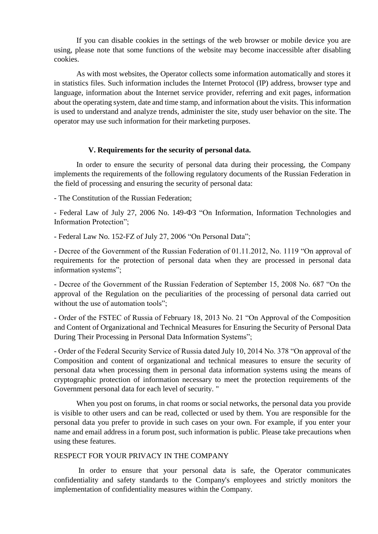If you can disable cookies in the settings of the web browser or mobile device you are using, please note that some functions of the website may become inaccessible after disabling cookies.

As with most websites, the Operator collects some information automatically and stores it in statistics files. Such information includes the Internet Protocol (IP) address, browser type and language, information about the Internet service provider, referring and exit pages, information about the operating system, date and time stamp, and information about the visits. This information is used to understand and analyze trends, administer the site, study user behavior on the site. The operator may use such information for their marketing purposes.

## **V. Requirements for the security of personal data.**

In order to ensure the security of personal data during their processing, the Company implements the requirements of the following regulatory documents of the Russian Federation in the field of processing and ensuring the security of personal data:

- The Constitution of the Russian Federation;

- Federal Law of July 27, 2006 No. 149-ФЗ "On Information, Information Technologies and Information Protection";

- Federal Law No. 152-FZ of July 27, 2006 "On Personal Data";

- Decree of the Government of the Russian Federation of 01.11.2012, No. 1119 "On approval of requirements for the protection of personal data when they are processed in personal data information systems";

- Decree of the Government of the Russian Federation of September 15, 2008 No. 687 "On the approval of the Regulation on the peculiarities of the processing of personal data carried out without the use of automation tools":

- Order of the FSTEC of Russia of February 18, 2013 No. 21 "On Approval of the Composition and Content of Organizational and Technical Measures for Ensuring the Security of Personal Data During Their Processing in Personal Data Information Systems";

- Order of the Federal Security Service of Russia dated July 10, 2014 No. 378 "On approval of the Composition and content of organizational and technical measures to ensure the security of personal data when processing them in personal data information systems using the means of cryptographic protection of information necessary to meet the protection requirements of the Government personal data for each level of security. "

When you post on forums, in chat rooms or social networks, the personal data you provide is visible to other users and can be read, collected or used by them. You are responsible for the personal data you prefer to provide in such cases on your own. For example, if you enter your name and email address in a forum post, such information is public. Please take precautions when using these features.

## RESPECT FOR YOUR PRIVACY IN THE COMPANY

In order to ensure that your personal data is safe, the Operator communicates confidentiality and safety standards to the Company's employees and strictly monitors the implementation of confidentiality measures within the Company.